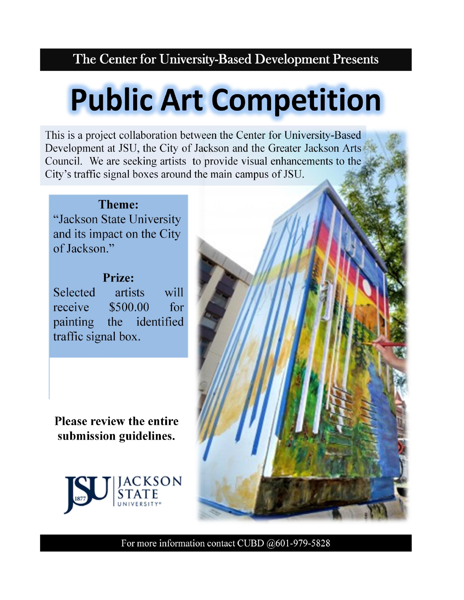## The Center for University-Based Development Presents

# **Public Art Competition**

This is a project collaboration between the Center for University-Based Development at JSU, the City of Jackson and the Greater Jackson Arts Council. We are seeking artists to provide visual enhancements to the City's traffic signal boxes around the main campus of JSU.

Theme: "Jackson State University and its impact on the City of Jackson."

**Prize:** Selected will artists \$500.00 receive for the identified painting traffic signal box.

**Please review the entire** submission guidelines.





For more information contact CUBD @601-979-5828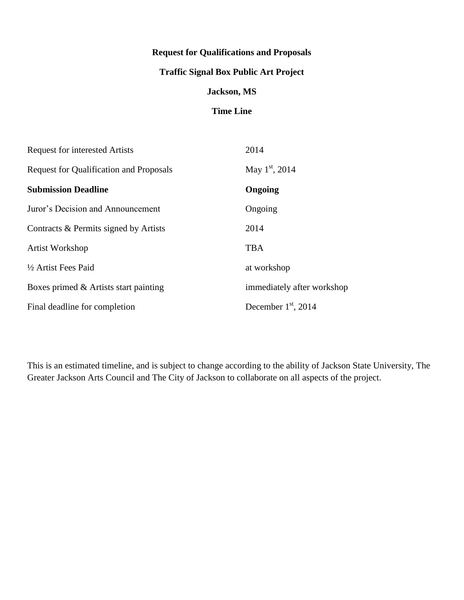#### **Request for Qualifications and Proposals**

#### **Traffic Signal Box Public Art Project**

#### **Jackson, MS**

#### **Time Line**

| <b>Request for interested Artists</b>          | 2014                       |
|------------------------------------------------|----------------------------|
| <b>Request for Qualification and Proposals</b> | May $1st$ , 2014           |
| <b>Submission Deadline</b>                     | Ongoing                    |
| Juror's Decision and Announcement              | Ongoing                    |
| Contracts & Permits signed by Artists          | 2014                       |
| Artist Workshop                                | <b>TBA</b>                 |
| 1/2 Artist Fees Paid                           | at workshop                |
| Boxes primed $\&$ Artists start painting       | immediately after workshop |
| Final deadline for completion                  | December $1st$ , 2014      |

This is an estimated timeline, and is subject to change according to the ability of Jackson State University, The Greater Jackson Arts Council and The City of Jackson to collaborate on all aspects of the project.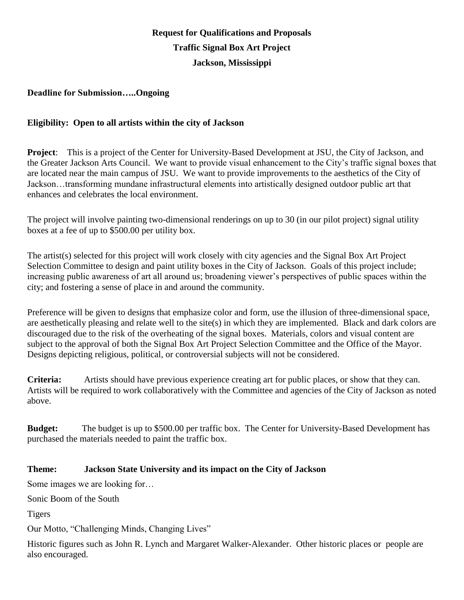### **Request for Qualifications and Proposals Traffic Signal Box Art Project Jackson, Mississippi**

#### **Deadline for Submission…..Ongoing**

#### **Eligibility: Open to all artists within the city of Jackson**

**Project**: This is a project of the Center for University-Based Development at JSU, the City of Jackson, and the Greater Jackson Arts Council. We want to provide visual enhancement to the City's traffic signal boxes that are located near the main campus of JSU. We want to provide improvements to the aesthetics of the City of Jackson…transforming mundane infrastructural elements into artistically designed outdoor public art that enhances and celebrates the local environment.

The project will involve painting two-dimensional renderings on up to 30 (in our pilot project) signal utility boxes at a fee of up to \$500.00 per utility box.

The artist(s) selected for this project will work closely with city agencies and the Signal Box Art Project Selection Committee to design and paint utility boxes in the City of Jackson. Goals of this project include; increasing public awareness of art all around us; broadening viewer's perspectives of public spaces within the city; and fostering a sense of place in and around the community.

Preference will be given to designs that emphasize color and form, use the illusion of three-dimensional space, are aesthetically pleasing and relate well to the site(s) in which they are implemented. Black and dark colors are discouraged due to the risk of the overheating of the signal boxes. Materials, colors and visual content are subject to the approval of both the Signal Box Art Project Selection Committee and the Office of the Mayor. Designs depicting religious, political, or controversial subjects will not be considered.

**Criteria:** Artists should have previous experience creating art for public places, or show that they can. Artists will be required to work collaboratively with the Committee and agencies of the City of Jackson as noted above.

**Budget:** The budget is up to \$500.00 per traffic box. The Center for University-Based Development has purchased the materials needed to paint the traffic box.

#### **Theme: Jackson State University and its impact on the City of Jackson**

Some images we are looking for…

Sonic Boom of the South

Tigers

Our Motto, "Challenging Minds, Changing Lives"

Historic figures such as John R. Lynch and Margaret Walker-Alexander. Other historic places or people are also encouraged.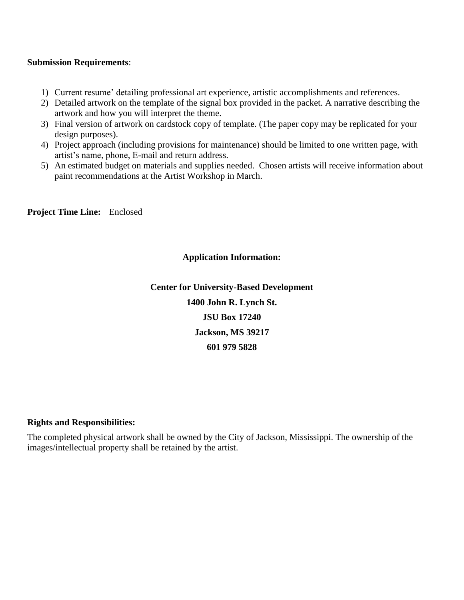#### **Submission Requirements**:

- 1) Current resume' detailing professional art experience, artistic accomplishments and references.
- 2) Detailed artwork on the template of the signal box provided in the packet. A narrative describing the artwork and how you will interpret the theme.
- 3) Final version of artwork on cardstock copy of template. (The paper copy may be replicated for your design purposes).
- 4) Project approach (including provisions for maintenance) should be limited to one written page, with artist's name, phone, E-mail and return address.
- 5) An estimated budget on materials and supplies needed. Chosen artists will receive information about paint recommendations at the Artist Workshop in March.

**Project Time Line:** Enclosed

#### **Application Information:**

**Center for University-Based Development 1400 John R. Lynch St. JSU Box 17240 Jackson, MS 39217 601 979 5828**

#### **Rights and Responsibilities:**

The completed physical artwork shall be owned by the City of Jackson, Mississippi. The ownership of the images/intellectual property shall be retained by the artist.